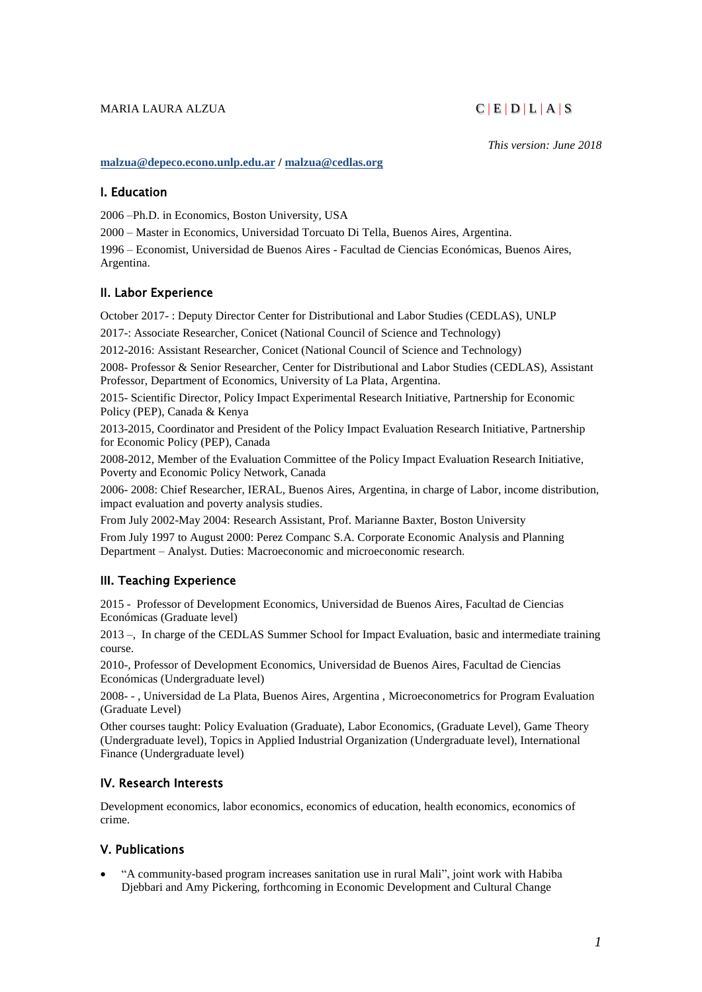## MARIA LAURA ALZUA  $C | E | D | L | A | S$

*This version: June 2018*

#### **[malzua@depeco.econo.unlp.edu.ar](mailto:malzua@depeco.econo.unlp.edu.ar) [/ malzua@cedlas.org](mailto:malzua@cedlas.org)**

## I. Education

2006 –Ph.D. in Economics, Boston University, USA

2000 – Master in Economics, Universidad Torcuato Di Tella, Buenos Aires, Argentina.

1996 – Economist, Universidad de Buenos Aires - Facultad de Ciencias Económicas, Buenos Aires, Argentina.

# II. Labor Experience

October 2017- : Deputy Director Center for Distributional and Labor Studies (CEDLAS), UNLP

2017-: Associate Researcher, Conicet (National Council of Science and Technology)

2012-2016: Assistant Researcher, Conicet (National Council of Science and Technology)

2008- Professor & Senior Researcher, Center for Distributional and Labor Studies (CEDLAS), Assistant Professor, Department of Economics, University of La Plata, Argentina.

2015- Scientific Director, Policy Impact Experimental Research Initiative, Partnership for Economic Policy (PEP), Canada & Kenya

2013-2015, Coordinator and President of the Policy Impact Evaluation Research Initiative, Partnership for Economic Policy (PEP), Canada

2008-2012, Member of the Evaluation Committee of the Policy Impact Evaluation Research Initiative, Poverty and Economic Policy Network, Canada

2006- 2008: Chief Researcher, IERAL, Buenos Aires, Argentina, in charge of Labor, income distribution, impact evaluation and poverty analysis studies.

From July 2002-May 2004: Research Assistant, Prof. Marianne Baxter, Boston University

From July 1997 to August 2000: Perez Companc S.A. Corporate Economic Analysis and Planning Department – Analyst. Duties: Macroeconomic and microeconomic research.

## III. Teaching Experience

2015 - Professor of Development Economics, Universidad de Buenos Aires, Facultad de Ciencias Económicas (Graduate level)

2013 –, In charge of the CEDLAS Summer School for Impact Evaluation, basic and intermediate training course.

2010-, Professor of Development Economics, Universidad de Buenos Aires, Facultad de Ciencias Económicas (Undergraduate level)

2008- - , Universidad de La Plata, Buenos Aires, Argentina , Microeconometrics for Program Evaluation (Graduate Level)

Other courses taught: Policy Evaluation (Graduate), Labor Economics, (Graduate Level), Game Theory (Undergraduate level), Topics in Applied Industrial Organization (Undergraduate level), International Finance (Undergraduate level)

# IV. Research Interests

Development economics, labor economics, economics of education, health economics, economics of crime.

## V. Publications

• "A community-based program increases sanitation use in rural Mali", joint work with Habiba Djebbari and Amy Pickering, forthcoming in Economic Development and Cultural Change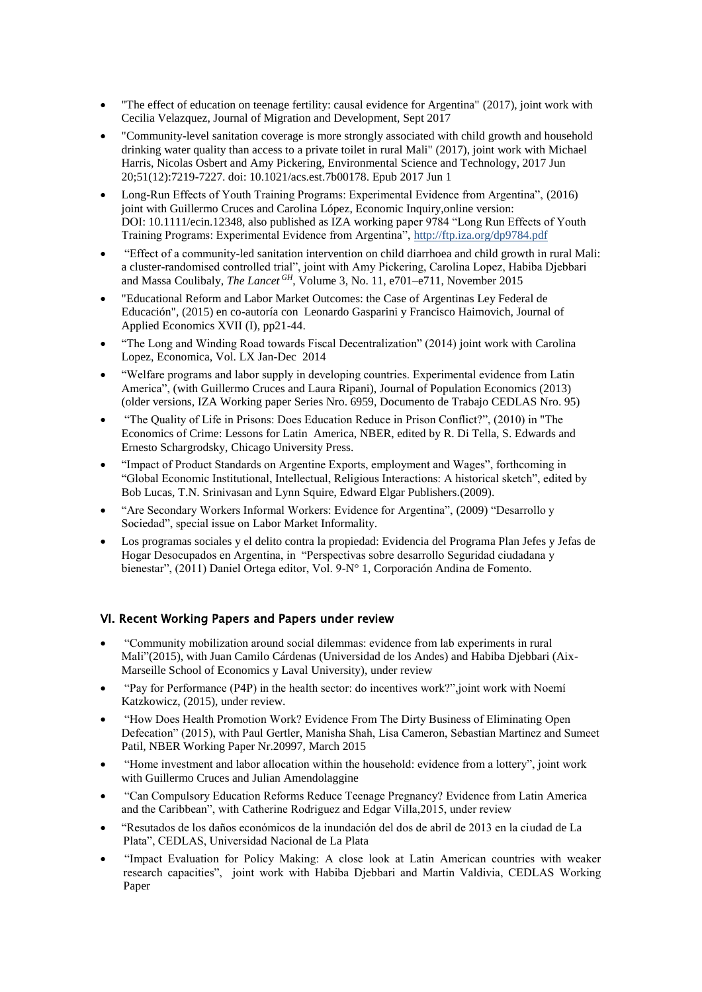- "The effect of education on teenage fertility: causal evidence for Argentina" (2017), joint work with Cecilia Velazquez, Journal of Migration and Development, Sept 2017
- "Community-level sanitation coverage is more strongly associated with child growth and household drinking water quality than access to a private toilet in rural Mali" (2017), joint work with Michael Harris, Nicolas Osbert and Amy Pickering, Environmental Science and Technology, 2017 Jun 20;51(12):7219-7227. doi: 10.1021/acs.est.7b00178. Epub 2017 Jun 1
- Long-Run Effects of Youth Training Programs: Experimental Evidence from Argentina", (2016) joint with Guillermo Cruces and Carolina López, Economic Inquiry,online version: DOI: 10.1111/ecin.12348, also published as IZA working paper 9784 "Long Run Effects of Youth Training Programs: Experimental Evidence from Argentina",<http://ftp.iza.org/dp9784.pdf>
- "Effect of a community-led sanitation intervention on child diarrhoea and child growth in rural Mali: a cluster-randomised controlled trial", joint with Amy Pickering, Carolina Lopez, Habiba Djebbari and Massa Coulibaly, *The Lancet GH*, Volume 3, No. 11, e701–e711, November 2015
- "Educational Reform and Labor Market Outcomes: the Case of Argentinas Ley Federal de Educación", (2015) en co-autoría con Leonardo Gasparini y Francisco Haimovich, Journal of Applied Economics XVII (I), pp21-44.
- "The Long and Winding Road towards Fiscal Decentralization" (2014) joint work with Carolina Lopez, Economica, Vol. LX Jan-Dec 2014
- "Welfare programs and labor supply in developing countries. Experimental evidence from Latin America", (with Guillermo Cruces and Laura Ripani), Journal of Population Economics (2013) (older versions, IZA Working paper Series Nro. 6959, Documento de Trabajo CEDLAS Nro. 95)
- "The Quality of Life in Prisons: Does Education Reduce in Prison Conflict?", (2010) in "The Economics of Crime: Lessons for Latin America, NBER, edited by R. Di Tella, S. Edwards and Ernesto Schargrodsky, Chicago University Press.
- "Impact of Product Standards on Argentine Exports, employment and Wages", forthcoming in "Global Economic Institutional, Intellectual, Religious Interactions: A historical sketch", edited by Bob Lucas, T.N. Srinivasan and Lynn Squire, Edward Elgar Publishers.(2009).
- "Are Secondary Workers Informal Workers: Evidence for Argentina", (2009) "Desarrollo y Sociedad", special issue on Labor Market Informality.
- Los programas sociales y el delito contra la propiedad: Evidencia del Programa Plan Jefes y Jefas de Hogar Desocupados en Argentina, in "Perspectivas sobre desarrollo Seguridad ciudadana y bienestar", (2011) Daniel Ortega editor, Vol. 9-N° 1, Corporación Andina de Fomento.

# VI. Recent Working Papers and Papers under review

- "Community mobilization around social dilemmas: evidence from lab experiments in rural Mali"(2015), with Juan Camilo Cárdenas (Universidad de los Andes) and Habiba Djebbari (Aix-Marseille School of Economics y Laval University), under review
- "Pay for Performance (P4P) in the health sector: do incentives work?",joint work with Noemí Katzkowicz, (2015), under review.
- "How Does Health Promotion Work? Evidence From The Dirty Business of Eliminating Open Defecation" (2015), with Paul Gertler, Manisha Shah, Lisa Cameron, Sebastian Martinez and Sumeet Patil, NBER Working Paper Nr.20997, March 2015
- "Home investment and labor allocation within the household: evidence from a lottery", joint work with Guillermo Cruces and Julian Amendolaggine
- "Can Compulsory Education Reforms Reduce Teenage Pregnancy? Evidence from Latin America and the Caribbean", with Catherine Rodriguez and Edgar Villa,2015, under review
- "Resutados de los daños económicos de la inundación del dos de abril de 2013 en la ciudad de La Plata", CEDLAS, Universidad Nacional de La Plata
- "Impact Evaluation for Policy Making: A close look at Latin American countries with weaker research capacities", joint work with Habiba Djebbari and Martin Valdivia, CEDLAS Working Paper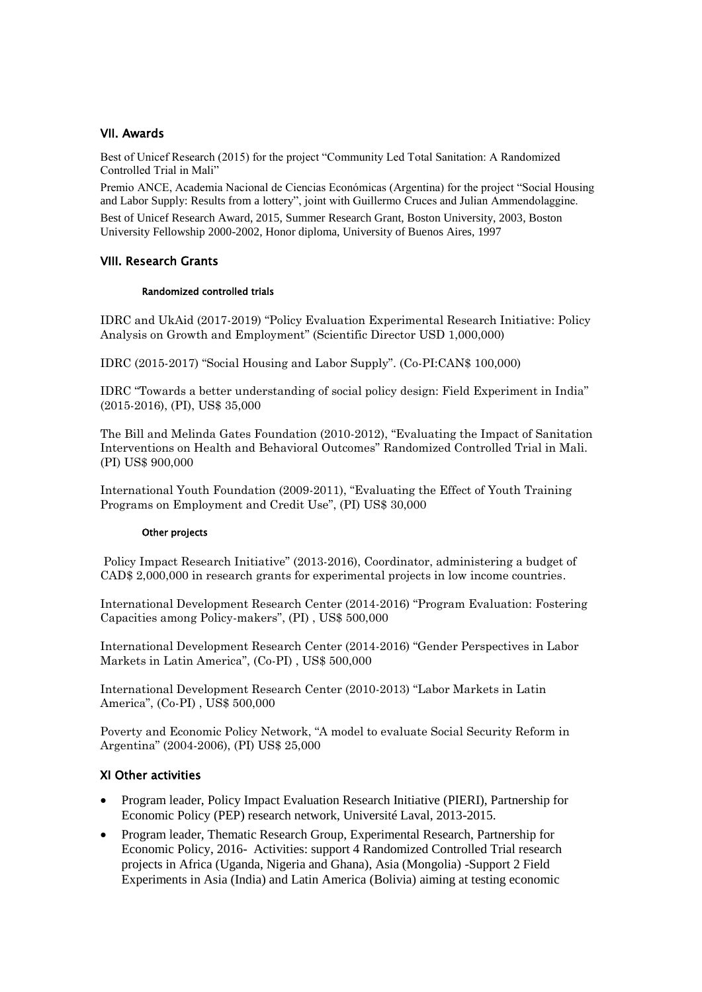# VII. Awards

Best of Unicef Research (2015) for the project "Community Led Total Sanitation: A Randomized Controlled Trial in Mali"

Premio ANCE, Academia Nacional de Ciencias Económicas (Argentina) for the project "Social Housing and Labor Supply: Results from a lottery", joint with Guillermo Cruces and Julian Ammendolaggine. Best of Unicef Research Award, 2015, Summer Research Grant, Boston University, 2003, Boston University Fellowship 2000-2002, Honor diploma, University of Buenos Aires, 1997

# VIII. Research Grants

## Randomized controlled trials

IDRC and UkAid (2017-2019) "Policy Evaluation Experimental Research Initiative: Policy Analysis on Growth and Employment" (Scientific Director USD 1,000,000)

IDRC (2015-2017) "Social Housing and Labor Supply". (Co-PI:CAN\$ 100,000)

IDRC "Towards a better understanding of social policy design: Field Experiment in India" (2015-2016), (PI), US\$ 35,000

The Bill and Melinda Gates Foundation (2010-2012), "Evaluating the Impact of Sanitation Interventions on Health and Behavioral Outcomes" Randomized Controlled Trial in Mali. (PI) US\$ 900,000

International Youth Foundation (2009-2011), "Evaluating the Effect of Youth Training Programs on Employment and Credit Use", (PI) US\$ 30,000

## Other projects

Policy Impact Research Initiative" (2013-2016), Coordinator, administering a budget of CAD\$ 2,000,000 in research grants for experimental projects in low income countries.

International Development Research Center (2014-2016) "Program Evaluation: Fostering Capacities among Policy-makers", (PI) , US\$ 500,000

International Development Research Center (2014-2016) "Gender Perspectives in Labor Markets in Latin America", (Co-PI) , US\$ 500,000

International Development Research Center (2010-2013) "Labor Markets in Latin America", (Co-PI) , US\$ 500,000

Poverty and Economic Policy Network, "A model to evaluate Social Security Reform in Argentina" (2004-2006), (PI) US\$ 25,000

# XI Other activities

- Program leader, Policy Impact Evaluation Research Initiative (PIERI), Partnership for Economic Policy (PEP) research network, Université Laval, 2013-2015.
- Program leader, Thematic Research Group, Experimental Research, Partnership for Economic Policy, 2016- Activities: support 4 Randomized Controlled Trial research projects in Africa (Uganda, Nigeria and Ghana), Asia (Mongolia) -Support 2 Field Experiments in Asia (India) and Latin America (Bolivia) aiming at testing economic